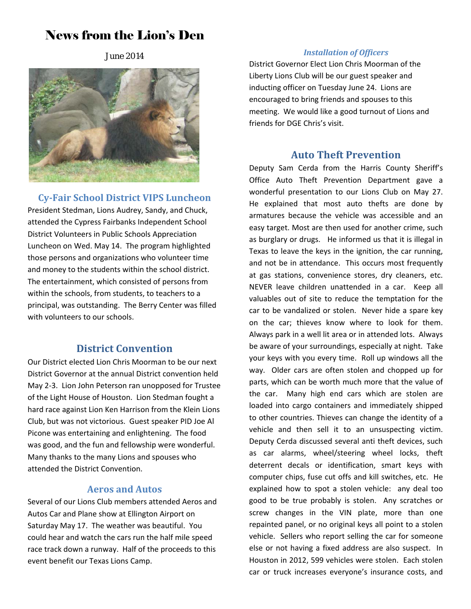# News from the Lion's Den

June 2014



**Cy‐Fair School District VIPS Luncheon** President Stedman, Lions Audrey, Sandy, and Chuck, attended the Cypress Fairbanks Independent School District Volunteers in Public Schools Appreciation Luncheon on Wed. May 14. The program highlighted those persons and organizations who volunteer time and money to the students within the school district. The entertainment, which consisted of persons from within the schools, from students, to teachers to a principal, was outstanding. The Berry Center was filled with volunteers to our schools.

### **District Convention**

Our District elected Lion Chris Moorman to be our next District Governor at the annual District convention held May 2‐3. Lion John Peterson ran unopposed for Trustee of the Light House of Houston. Lion Stedman fought a hard race against Lion Ken Harrison from the Klein Lions Club, but was not victorious. Guest speaker PID Joe Al Picone was entertaining and enlightening. The food was good, and the fun and fellowship were wonderful. Many thanks to the many Lions and spouses who attended the District Convention.

### **Aeros and Autos**

Several of our Lions Club members attended Aeros and Autos Car and Plane show at Ellington Airport on Saturday May 17. The weather was beautiful. You could hear and watch the cars run the half mile speed race track down a runway. Half of the proceeds to this event benefit our Texas Lions Camp.

### *Installation of Officers*

District Governor Elect Lion Chris Moorman of the Liberty Lions Club will be our guest speaker and inducting officer on Tuesday June 24. Lions are encouraged to bring friends and spouses to this meeting. We would like a good turnout of Lions and friends for DGE Chris's visit.

## **Auto Theft Prevention**

Deputy Sam Cerda from the Harris County Sheriff's Office Auto Theft Prevention Department gave a wonderful presentation to our Lions Club on May 27. He explained that most auto thefts are done by armatures because the vehicle was accessible and an easy target. Most are then used for another crime, such as burglary or drugs. He informed us that it is illegal in Texas to leave the keys in the ignition, the car running, and not be in attendance. This occurs most frequently at gas stations, convenience stores, dry cleaners, etc. NEVER leave children unattended in a car. Keep all valuables out of site to reduce the temptation for the car to be vandalized or stolen. Never hide a spare key on the car; thieves know where to look for them. Always park in a well lit area or in attended lots. Always be aware of your surroundings, especially at night. Take your keys with you every time. Roll up windows all the way. Older cars are often stolen and chopped up for parts, which can be worth much more that the value of the car. Many high end cars which are stolen are loaded into cargo containers and immediately shipped to other countries. Thieves can change the identity of a vehicle and then sell it to an unsuspecting victim. Deputy Cerda discussed several anti theft devices, such as car alarms, wheel/steering wheel locks, theft deterrent decals or identification, smart keys with computer chips, fuse cut offs and kill switches, etc. He explained how to spot a stolen vehicle: any deal too good to be true probably is stolen. Any scratches or screw changes in the VIN plate, more than one repainted panel, or no original keys all point to a stolen vehicle. Sellers who report selling the car for someone else or not having a fixed address are also suspect. In Houston in 2012, 599 vehicles were stolen. Each stolen car or truck increases everyone's insurance costs, and